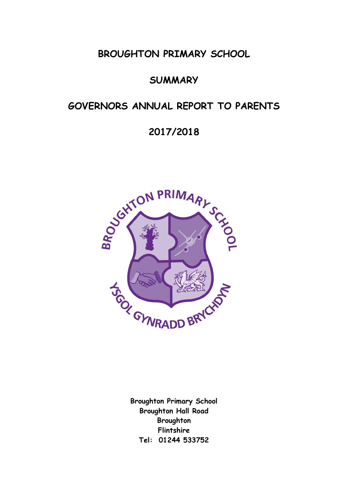**BROUGHTON PRIMARY SCHOOL**

# **SUMMARY**

# **GOVERNORS ANNUAL REPORT TO PARENTS**

# **2017/2018**



**Broughton Primary School Broughton Hall Road Broughton Flintshire Tel: 01244 533752**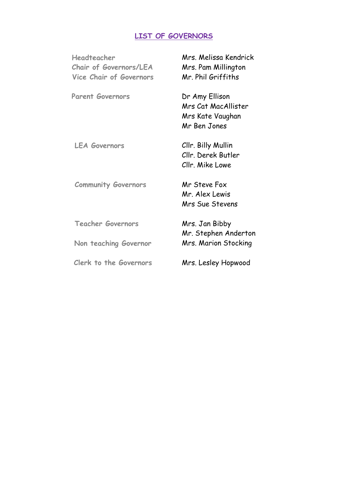# **LIST OF GOVERNORS**

| Headteacher<br><b>Chair of Governors/LEA</b><br><b>Vice Chair of Governors</b> | Mrs. Melissa Kendrick<br>Mrs. Pam Millington<br>Mr. Phil Griffiths        |
|--------------------------------------------------------------------------------|---------------------------------------------------------------------------|
| <b>Parent Governors</b>                                                        | Dr Amy Ellison<br>Mrs Cat MacAllister<br>Mrs Kate Vaughan<br>Mr Ben Jones |
| <b>LEA Governors</b>                                                           | Cllr. Billy Mullin<br>Cllr. Derek Butler<br>Cllr. Mike Lowe               |
| <b>Community Governors</b>                                                     | Mr Steve Fox<br>Mr. Alex Lewis<br><b>Mrs Sue Stevens</b>                  |
| <b>Teacher Governors</b>                                                       | Mrs. Jan Bibby                                                            |
| Non teaching Governor                                                          | Mr. Stephen Anderton<br>Mrs. Marion Stocking                              |
| Clerk to the Governors                                                         | Mrs. Lesley Hopwood                                                       |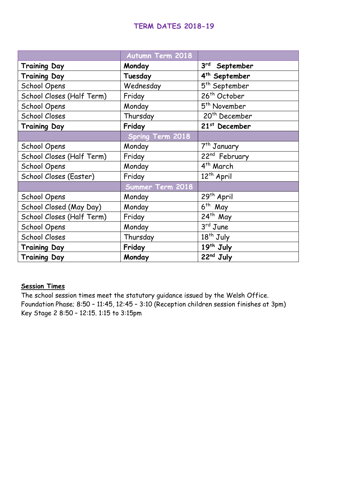# **TERM DATES 2018-19**

|                           | <b>Autumn Term 2018</b> |                           |
|---------------------------|-------------------------|---------------------------|
| <b>Training Day</b>       | Monday                  | $3^{rd}$ September        |
| <b>Training Day</b>       | Tuesday                 | 4 <sup>th</sup> September |
| School Opens              | Wednesday               | 5 <sup>th</sup> September |
| School Closes (Half Term) | Friday                  | 26 <sup>th</sup> October  |
| School Opens              | Monday                  | 5 <sup>th</sup> November  |
| <b>School Closes</b>      | Thursday                | 20 <sup>th</sup> December |
| <b>Training Day</b>       | Friday                  | 21 <sup>st</sup> December |
|                           | <b>Spring Term 2018</b> |                           |
| <b>School Opens</b>       | Monday                  | 7 <sup>th</sup> January   |
| School Closes (Half Term) | Friday                  | 22 <sup>nd</sup> February |
| <b>School Opens</b>       | Monday                  | 4 <sup>th</sup> March     |
| School Closes (Easter)    | Friday                  | 12 <sup>th</sup> April    |
|                           | Summer Term 2018        |                           |
| School Opens              | Monday                  | 29 <sup>th</sup> April    |
| School Closed (May Day)   | Monday                  | $6th$ May                 |
| School Closes (Half Term) | Friday                  | $24$ <sup>th</sup> May    |
| <b>School Opens</b>       | Monday                  | 3rd June                  |
| <b>School Closes</b>      | Thursday                | $18th$ July               |
| <b>Training Day</b>       | Friday                  | 19th July                 |
| <b>Training Day</b>       | Monday                  | 22nd July                 |

# **Session Times**

The school session times meet the statutory guidance issued by the Welsh Office. Foundation Phase; 8:50 – 11:45, 12:45 – 3:10 (Reception children session finishes at 3pm) Key Stage 2 8:50 – 12:15. 1:15 to 3:15pm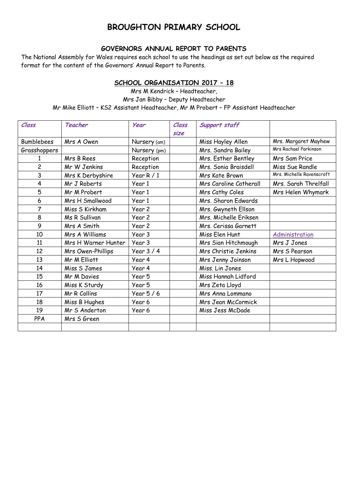# **BROUGHTON PRIMARY SCHOOL**

### **GOVERNORS ANNUAL REPORT TO PARENTS**

The National Assembly for Wales requires each school to use the headings as set out below as the required format for the content of the Governors' Annual Report to Parents.

### **SCHOOL ORGANISATION 2017 – 18**

Mrs M Kendrick – Headteacher, Mrs Jan Bibby – Deputy Headteacher Mr Mike Elliott – KS2 Assistant Headteacher, Mr M Probert – FP Assistant Headteacher

| Class             | Teacher             | <b>Year</b>  | Class | Support staff             |                           |
|-------------------|---------------------|--------------|-------|---------------------------|---------------------------|
|                   |                     |              | size  |                           |                           |
| <b>Bumblebees</b> | Mrs A Owen          | Nursery (am) |       | Miss Hayley Allen         | Mrs. Margaret Mayhew      |
| Grasshoppers      |                     | Nursery (pm) |       | Mrs. Sandra Bailey        | Mrs Rachael Parkinson     |
|                   | Mrs B Rees          | Reception    |       | Mrs. Esther Bentley       | Mrs Sam Price             |
| $\overline{c}$    | Mr W Jenkins        | Reception    |       | Mrs. Sonia Braisdell      | Miss Sue Randle           |
| 3                 | Mrs K Derbyshire    | Year $R/1$   |       | Mrs Kate Brown            | Mrs. Michelle Ravenscroft |
| 4                 | Mr J Roberts        | Year 1       |       | Mrs Caroline Catherall    | Mrs. Sarah Threlfall      |
| 5                 | Mr M Probert        | Year 1       |       | Mrs Cathy Coles           | Mrs Helen Whymark         |
| 6                 | Mrs H Smallwood     | Year 1       |       | Mrs. Sharon Edwards       |                           |
| 7                 | Miss S Kirkham      | Year 2       |       | Mrs. Gwyneth Ellson       |                           |
| 8                 | Ms R Sullivan       | Year 2       |       | Mrs. Michelle Eriksen     |                           |
| 9                 | Mrs A Smith         | Year 2       |       | Mrs. Cerissa Garnett      |                           |
| 10                | Mrs A Williams      | Year 3       |       | Miss Elen Hunt            | Administration            |
| 11                | Mrs H Warner Hunter | Year 3       |       | Mrs Sian Hitchmough       | Mrs J Jones               |
| 12                | Mrs Owen-Phillips   | Year $3/4$   |       | Mrs Christie Jenkins      | Mrs S Pearson             |
| 13                | Mr M Elliott        | Year 4       |       | Mrs Jenny Joinson         | Mrs L Hopwood             |
| 14                | Miss 5 James        | Year 4       |       | Miss. Lin Jones           |                           |
| 15                | Mr M Davies         | Year 5       |       | Miss Hannah Lidford       |                           |
| 16                | Miss K Sturdy       | Year 5       |       | Mrs Zeta Lloyd            |                           |
| 17                | Mr R Collins        | Year $5/6$   |       | Mrs Anna Lommano          |                           |
| 18                | Miss B Hughes       | Year 6       |       | <b>Mrs Jean McCormick</b> |                           |
| 19                | Mr S Anderton       | Year 6       |       | Miss Jess McDade          |                           |
| PPA               | Mrs S Green         |              |       |                           |                           |
|                   |                     |              |       |                           |                           |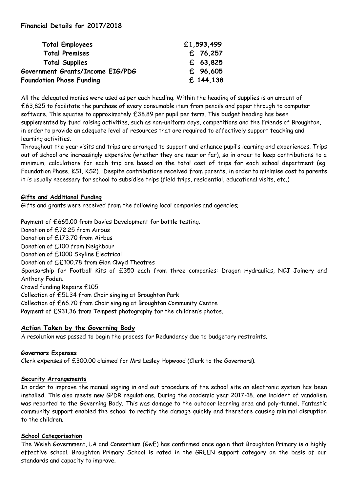### **Financial Details for 2017/2018**

| <b>Total Employees</b>           | £1,593,499 |
|----------------------------------|------------|
| <b>Total Premises</b>            | £ 76,257   |
| <b>Total Supplies</b>            | £ $63,825$ |
| Government Grants/Income EIG/PDG | £ 96,605   |
| <b>Foundation Phase Funding</b>  | £ 144,138  |

All the delegated monies were used as per each heading. Within the heading of supplies is an amount of £63,825 to facilitate the purchase of every consumable item from pencils and paper through to computer software. This equates to approximately £38.89 per pupil per term. This budget heading has been supplemented by fund raising activities, such as non-uniform days, competitions and the Friends of Broughton, in order to provide an adequate level of resources that are required to effectively support teaching and learning activities.

Throughout the year visits and trips are arranged to support and enhance pupil's learning and experiences. Trips out of school are increasingly expensive (whether they are near or far), so in order to keep contributions to a minimum, calculations for each trip are based on the total cost of trips for each school department (eg. Foundation Phase, KS1, KS2). Despite contributions received from parents, in order to minimise cost to parents it is usually necessary for school to subsidise trips (field trips, residential, educational visits, etc.)

### **Gifts and Additional Funding**

Gifts and grants were received from the following local companies and agencies;

Payment of £665.00 from Davies Development for bottle testing. Donation of £72.25 from Airbus Donation of £173.70 from Airbus Donation of £100 from Neighbour Donation of £1000 Skyline Electrical Donation of ££100.78 from Glan Clwyd Theatres Sponsorship for Football Kits of £350 each from three companies: Dragon Hydraulics, NCJ Joinery and Anthony Foden. Crowd funding Repairs £105 Collection of £51.34 from Choir singing at Broughton Park Collection of £66.70 from Choir singing at Broughton Community Centre Payment of £931.36 from Tempest photography for the children's photos.

# **Action Taken by the Governing Body**

A resolution was passed to begin the process for Redundancy due to budgetary restraints.

# **Governors Expenses**

Clerk expenses of £300.00 claimed for Mrs Lesley Hopwood (Clerk to the Governors).

# **Security Arrangements**

In order to improve the manual signing in and out procedure of the school site an electronic system has been installed. This also meets new GPDR regulations. During the academic year 2017-18, one incident of vandalism was reported to the Governing Body. This was damage to the outdoor learning area and poly-tunnel. Fantastic community support enabled the school to rectify the damage quickly and therefore causing minimal disruption to the children.

# **School Categorisation**

The Welsh Government, LA and Consortium (GwE) has confirmed once again that Broughton Primary is a highly effective school. Broughton Primary School is rated in the GREEN support category on the basis of our standards and capacity to improve.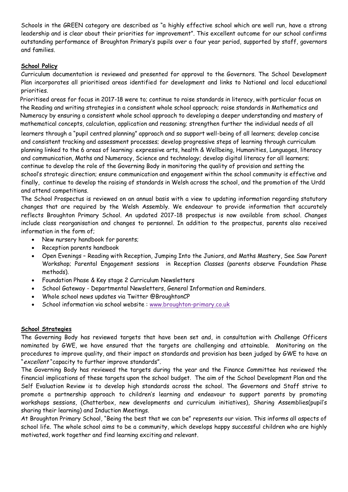Schools in the GREEN category are described as "a highly effective school which are well run, have a strong leadership and is clear about their priorities for improvement". This excellent outcome for our school confirms outstanding performance of Broughton Primary's pupils over a four year period, supported by staff, governors and families.

### **School Policy**

Curriculum documentation is reviewed and presented for approval to the Governors. The School Development Plan incorporates all prioritised areas identified for development and links to National and local educational priorities.

Prioritised areas for focus in 2017-18 were to; continue to raise standards in literacy, with particular focus on the Reading and writing strategies in a consistent whole school approach; raise standards in Mathematics and Numeracy by ensuring a consistent whole school approach to developing a deeper understanding and mastery of mathematical concepts, calculation, application and reasoning; strengthen further the individual needs of all

learners through a "pupil centred planning" approach and so support well-being of all learners; develop concise and consistent tracking and assessment processes; develop progressive steps of learning through curriculum planning linked to the 6 areas of learning: expressive arts, health & Wellbeing, Humanities, Languages, literacy and communication, Maths and Numeracy, Science and technology; develop digital literacy for all learners; continue to develop the role of the Governing Body in monitoring the quality of provision and setting the school's strategic direction; ensure communication and engagement within the school community is effective and finally, continue to develop the raising of standards in Welsh across the school, and the promotion of the Urdd and attend competitions.

The School Prospectus is reviewed on an annual basis with a view to updating information regarding statutory changes that are required by the Welsh Assembly. We endeavour to provide information that accurately reflects Broughton Primary School. An updated 2017-18 prospectus is now available from school. Changes include class reorganisation and changes to personnel. In addition to the prospectus, parents also received information in the form of;

- New nursery handbook for parents;
- Reception parents handbook
- Open Evenings Reading with Reception, Jumping Into the Juniors, and Maths Mastery, See Saw Parent Workshop; Parental Engagement sessions in Reception Classes (parents observe Foundation Phase methods).
- Foundation Phase & Key stage 2 Curriculum Newsletters
- School Gateway Departmental Newsletters, General Information and Reminders.
- Whole school news updates via Twitter @BroughtonCP
- School information via school website : [www.broughton-primary.co.uk](http://www.broughton-primary.co.uk/)

#### **School Strategies**

The Governing Body has reviewed targets that have been set and, in consultation with Challenge Officers nominated by GWE, we have ensured that the targets are challenging and attainable. Monitoring on the procedures to improve quality, and their impact on standards and provision has been judged by GWE to have an "excellent" capacity to further improve standards".

The Governing Body has reviewed the targets during the year and the Finance Committee has reviewed the financial implications of these targets upon the school budget. The aim of the School Development Plan and the Self Evaluation Review is to develop high standards across the school. The Governors and Staff strive to promote a partnership approach to children's learning and endeavour to support parents by promoting workshops sessions, (Chatterbox, new developments and curriculum initiatives), Sharing Assemblies(pupil's sharing their learning) and Induction Meetings.

At Broughton Primary School, "Being the best that we can be" represents our vision. This informs all aspects of school life. The whole school aims to be a community, which develops happy successful children who are highly motivated, work together and find learning exciting and relevant.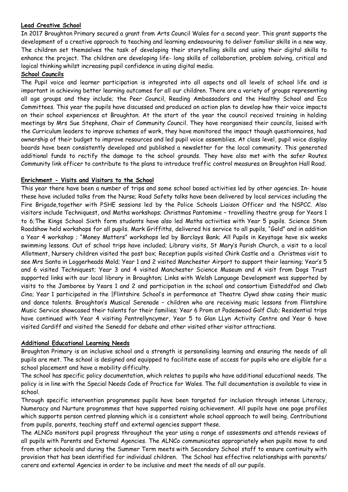#### **Lead Creative School**

In 2017 Broughton Primary secured a grant from Arts Council Wales for a second year. This grant supports the development of a creative approach to teaching and learning endeavouring to deliver familiar skills in a new way. The children set themselves the task of developing their storytelling skills and using their digital skills to enhance the project. The children are developing life- long skills of collaboration, problem solving, critical and logical thinking whilst increasing pupil confidence in using digital media.

#### **School Councils**

The Pupil voice and learner participation is integrated into all aspects and all levels of school life and is important in achieving better learning outcomes for all our children. There are a variety of groups representing all age groups and they include; the Peer Council, Reading Ambassadors and the Healthy School and Eco Committees. This year the pupils have discussed and produced an action plan to develop how their voice impacts on their school experiences at Broughton. At the start of the year the council received training in holding meetings by Mrs Sue Stephens, Chair of Community Council. They have reorganised their councils, liaised with the Curriculum leaders to improve schemes of work, they have monitored the impact though questionnaires, had ownership of their budget to improve resources and led pupil voice assemblies. At class level, pupil voice display boards have been consistently developed and published a newsletter for the local community. This generated additional funds to rectify the damage to the school grounds. They have also met with the safer Routes Community link officer to contribute to the plans to introduce traffic control measures on Broughton Hall Road.

#### **Enrichment - Visits and Visitors to the School**

This year there have been a number of trips and some school based activities led by other agencies. In- house these have included talks from the Nurse; Road Safety talks have been delivered by local services including the Fire Brigade,together with PSHE sessions led by the Police Schools Liaison Officer and the NSPCC. Also visitors include Techniquest, and Maths workshops; Christmas Pantomime – travelling theatre group for Years 1 to 6;The Kings School Sixth form students have also led Maths activities with Year 5 pupils. Science Stem Roadshow held workshops for all pupils. Mark Griffiths, delivered his service to all pupils, "Gold" and in addition a Year 4 workshop ; "Money Matters" workshops led by Barclays Bank; All Pupils in Keystage have six weeks swimming lessons. Out of school trips have included; Library visits, St Mary's Parish Church, a visit to a local Allotment, Nursery children visited the post box; Reception pupils visited Chirk Castle and a Christmas visit to see Mrs Santa in Loggerheads Mold; Year 1 and 2 visited Manchester Airport to support their learning; Year's 5 and 6 visited Techniquest; Year 3 and 4 visited Manchester Science Museum and A visit from Dogs Trust supported links with our local library in Broughton; Links with Welsh Language Development was supported by visits to the Jamboree by Years 1 and 2 and participation in the school and consortium Eisteddfod and Clwb Cino; Year 1 participated in the |Flintshire School's in performance at Theatre Clywd show casing their music and dance talents. Broughton's Musical Serenade – children who are receiving music lessons from Flintshire Music Service showcased their talents for their families; Year 6 Prom at Padeswood Golf Club; Residential trips have continued with Year 4 visiting Pentrellyncymer, Year 5 to Glan LLyn Activity Centre and Year 6 have visited Cardiff and visited the Senedd for debate and other visited other visitor attractions.

#### **Additional Educational Learning Needs**

Broughton Primary is an inclusive school and a strength is personalising learning and ensuring the needs of all pupils are met. The school is designed and equipped to facilitate ease of access for pupils who are eligible for a school placement and have a mobility difficulty.

The school has specific policy documentation, which relates to pupils who have additional educational needs. The policy is in line with the Special Needs Code of Practice for Wales. The full documentation is available to view in school.

Through specific intervention programmes pupils have been targeted for inclusion through intense Literacy, Numeracy and Nurture programmes that have supported raising achievement. All pupils have one page profiles which supports person centred planning which is a consistent whole school approach to well being. Contributions from pupils, parents, teaching staff and external agencies support these.

The ALNCo monitors pupil progress throughout the year using a range of assessments and attends reviews of all pupils with Parents and External Agencies. The ALNCo communicates appropriately when pupils move to and from other schools and during the Summer Term meets with Secondary School staff to ensure continuity with provision that has been identified for individual children. The School has effective relationships with parents/ carers and external Agencies in order to be inclusive and meet the needs of all our pupils.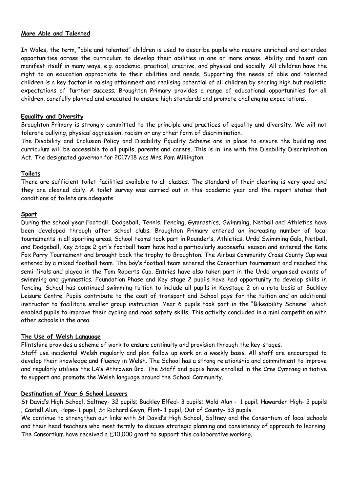#### **More Able and Talented**

In Wales, the term, "able and talented" children is used to describe pupils who require enriched and extended opportunities across the curriculum to develop their abilities in one or more areas. Ability and talent can manifest itself in many ways, e.g. academic, practical, creative, and physical and socially. All children have the right to an education appropriate to their abilities and needs. Supporting the needs of able and talented children is a key factor in raising attainment and realising potential of all children by sharing high but realistic expectations of further success. Broughton Primary provides a range of educational opportunities for all children, carefully planned and executed to ensure high standards and promote challenging expectations.

#### **Equality and Diversity**

Broughton Primary is strongly committed to the principle and practices of equality and diversity. We will not tolerate bullying, physical aggression, racism or any other form of discrimination.

The Disability and Inclusion Policy and Disability Equality Scheme are in place to ensure the building and curriculum will be accessible to all pupils, parents and carers. This is in line with the Disability Discrimination Act. The designated governor for 2017/18 was Mrs. Pam Millington.

#### **Toilets**

There are sufficient toilet facilities available to all classes. The standard of their cleaning is very good and they are cleaned daily. A toilet survey was carried out in this academic year and the report states that conditions of toilets are adequate.

#### **Sport**

During the school year Football, Dodgeball, Tennis, Fencing, Gymnastics, Swimming, Netball and Athletics have been developed through after school clubs. Broughton Primary entered an increasing number of local tournaments in all sporting areas. School teams took part in Rounder's, Athletics, Urdd Swimming Gala, Netball, and Dodgeball, Key Stage 2 girl's football team have had a particularly successful season and entered the Kate Fox Parry Tournament and brought back the trophy to Broughton. The Airbus Community Cross County Cup was entered by a mixed football team. The boy's football team entered the Consortium tournament and reached the semi-finals and played in the Tom Roberts Cup. Entries have also taken part in the Urdd organised events of swimming and gymnastics. Foundation Phase and Key stage 2 pupils have had opportunity to develop skills in fencing. School has continued swimming tuition to include all pupils in Keystage 2 on a rota basis at Buckley Leisure Centre. Pupils contribute to the cost of transport and School pays for the tuition and an additional instructor to facilitate smaller group instruction. Year 6 pupils took part in the "Bikeability Scheme" which enabled pupils to improve their cycling and road safety skills. This activity concluded in a mini competition with other schools in the area.

#### **The Use of Welsh Language**

Flintshire provides a scheme of work to ensure continuity and provision through the key-stages.

Staff use incidental Welsh regularly and plan follow up work on a weekly basis. All staff are encouraged to develop their knowledge and fluency in Welsh. The School has a strong relationship and commitment to improve and regularly utilises the LA's Athrowen Bro. The Staff and pupils have enrolled in the Criw Cymraeg initiative to support and promote the Welsh language around the School Community.

#### **Destination of Year 6 School Leavers**

St David's High School, Saltney- 32 pupils; Buckley Elfed- 3 pupils; Mold Alun - 1 pupil; Hawarden High- 2 pupils ; Castell Alun, Hope- 1 pupil; St Richard Gwyn, Flint- 1 pupil; Out of County- 33 pupils.

We continue to strengthen our links with St David's High School, Saltney and the Consortium of local schools and their head teachers who meet termly to discuss strategic planning and consistency of approach to learning. The Consortium have received a  $£10,000$  grant to support this collaborative working.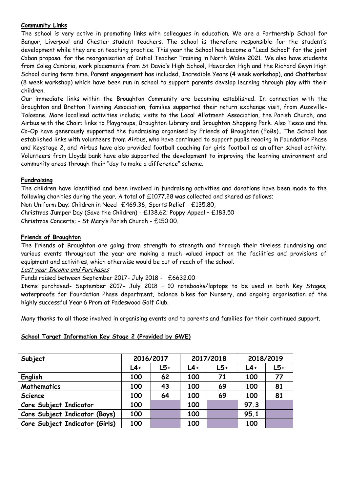#### **Community Links**

The school is very active in promoting links with colleagues in education. We are a Partnership School for Bangor, Liverpool and Chester student teachers. The school is therefore responsible for the student's development while they are on teaching practice. This year the School has become a "Lead School" for the joint Caban proposal for the reorganisation of Initial Teacher Training in North Wales 2021. We also have students from Coleg Cambria, work placements from St David's High School, Hawarden High and the Richard Gwyn High School during term time. Parent engagement has included, Incredible Years (4 week workshop), and Chatterbox (8 week workshop) which have been run in school to support parents develop learning through play with their children.

Our immediate links within the Broughton Community are becoming established. In connection with the Broughton and Bretton Twinning Association, families supported their return exchange visit, from Auzeville-Tolosane. More localised activities include; visits to the Local Allotment Association, the Parish Church, and Airbus with the Choir; links to Playgroups, Broughton Library and Broughton Shopping Park. Also Tesco and the Co-Op have generously supported the fundraising organised by Friends of Broughton (FoBs).. The School has established links with volunteers from Airbus, who have continued to support pupils reading in Foundation Phase and Keystage 2, and Airbus have also provided football coaching for girls football as an after school activity. Volunteers from Lloyds bank have also supported the development to improving the learning environment and community areas through their "day to make a difference" scheme.

#### **Fundraising**

The children have identified and been involved in fundraising activities and donations have been made to the following charities during the year. A total of £1077.28 was collected and shared as follows;

Non Uniform Day; Children in Need- £469.36, Sports Relief - £135.80,

Christmas Jumper Day (Save the Children) - £138.62; Poppy Appeal – £183.50

Christmas Concerts; - St Mary's Parish Church - £150.00.

#### **Friends of Broughton**

The Friends of Broughton are going from strength to strength and through their tireless fundraising and various events throughout the year are making a much valued impact on the facilities and provisions of equipment and activities, which otherwise would be out of reach of the school.

#### Last year Income and Purchases

### Funds raised between September 2017- July 2018 - £6632.00

Items purchased- September 2017- July 2018 – 10 notebooks/laptops to be used in both Key Stages; waterproofs for Foundation Phase department, balance bikes for Nursery, and ongoing organisation of the highly successful Year 6 Prom at Padeswood Golf Club.

Many thanks to all those involved in organising events and to parents and families for their continued support.

### **School Target Information Key Stage 2 (Provided by GWE)**

| Subject                        | 2016/2017 |     |       | 2017/2018 | 2018/2019 |       |  |
|--------------------------------|-----------|-----|-------|-----------|-----------|-------|--|
|                                | $L4+$     | L5+ | $L4+$ | $L5+$     | $L4+$     | $L5+$ |  |
| English                        | 100       | 62  | 100   | 71        | 100       | 77    |  |
| Mathematics                    | 100       | 43  | 100   | 69        | 100       | 81    |  |
| Science                        | 100       | 64  | 100   | 69        | 100       | 81    |  |
| Core Subject Indicator         | 100       |     | 100   |           | 97.3      |       |  |
| Core Subject Indicator (Boys)  | 100       |     | 100   |           | 95.1      |       |  |
| Core Subject Indicator (Girls) | 100       |     | 100   |           | 100       |       |  |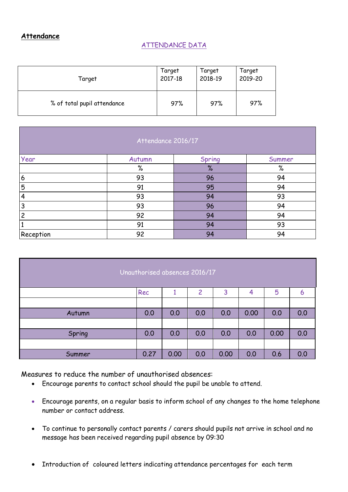### **Attendance**

### ATTENDANCE DATA

| Target                      | Target  | Target  | Target  |
|-----------------------------|---------|---------|---------|
|                             | 2017-18 | 2018-19 | 2019-20 |
| % of total pupil attendance | 97%     | 97%     | 97%     |

|           | Attendance 2016/17 |        |        |
|-----------|--------------------|--------|--------|
| Year      | Autumn             | Spring | Summer |
|           | $\%$               | $\%$   | $\%$   |
| 6         | 93                 | 96     | 94     |
| 5         | 91                 | 95     | 94     |
| 4         | 93                 | 94     | 93     |
| 3         | 93                 | 96     | 94     |
| 2         | 92                 | 94     | 94     |
|           | 91                 | 94     | 93     |
| Reception | 92                 | 94     | 94     |

| Unauthorised absences 2016/17 |      |      |     |      |      |      |     |  |
|-------------------------------|------|------|-----|------|------|------|-----|--|
|                               | Rec  |      | 2   | 3    | 4    | 5    | 6   |  |
|                               |      |      |     |      |      |      |     |  |
| Autumn                        | 0.0  | 0.0  | 0.0 | 0.0  | 0.00 | 0.0  | 0.0 |  |
|                               |      |      |     |      |      |      |     |  |
| Spring                        | 0.0  | 0.0  | 0.0 | 0.0  | 0.0  | 0.00 | 0.0 |  |
|                               |      |      |     |      |      |      |     |  |
| Summer                        | 0.27 | 0.00 | 0.0 | 0.00 | 0.0  | 0.6  | 0.0 |  |

Measures to reduce the number of unauthorised absences:

- Encourage parents to contact school should the pupil be unable to attend.
- Encourage parents, on a regular basis to inform school of any changes to the home telephone number or contact address.
- To continue to personally contact parents / carers should pupils not arrive in school and no message has been received regarding pupil absence by 09:30
- Introduction of coloured letters indicating attendance percentages for each term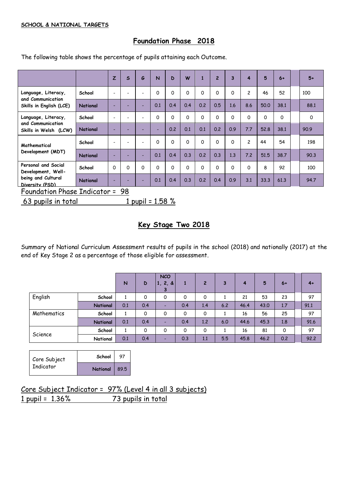#### **SCHOOL & NATIONAL TARGETS**

## **Foundation Phase 2018**

The following table shows the percentage of pupils attaining each Outcome.

|                                              |                 | $\overline{z}$           | $\mathsf{s}$ | G                        | $\overline{\mathsf{N}}$ | D   | W        |          | $\overline{2}$ | 3        | 4              | 5    | $6+$ | $5+$ |
|----------------------------------------------|-----------------|--------------------------|--------------|--------------------------|-------------------------|-----|----------|----------|----------------|----------|----------------|------|------|------|
| Language, Literacy,                          | School          | $\overline{\phantom{0}}$ |              | $\overline{\phantom{a}}$ | O                       | 0   | 0        | $\Omega$ | O              | $\Omega$ | $\overline{c}$ | 46   | 52   | 100  |
| and Communication<br>Skills in English (LCE) | <b>National</b> | -                        |              | ۰                        | 0.1                     | 0.4 | 0.4      | 0.2      | 0.5            | 1.6      | 8.6            | 50.0 | 38.1 | 88.1 |
| Language, Literacy,                          | School          | ٠                        |              | $\overline{\phantom{a}}$ | 0                       | 0   | 0        | $\Omega$ | $\Omega$       | $\Omega$ | 0              | 0    | 0    | 0    |
| and Communication<br>Skills in Welsh (LCW)   | <b>National</b> |                          |              |                          | -                       | 0.2 | 0.1      | 0.1      | 0.2            | 0.9      | 7.7            | 52.8 | 38.1 | 90.9 |
| Mathematical                                 | School          | ٠                        |              | $\overline{\phantom{a}}$ | O                       | 0   | $\Omega$ | 0        | 0              | $\Omega$ | $\overline{c}$ | 44   | 54   | 198  |
| Development (MDT)                            | <b>National</b> | ٠                        |              | ٠                        | 0.1                     | 0.4 | 0.3      | 0.2      | 0.3            | 1.3      | 7.2            | 51.5 | 38.7 | 90.3 |
| Personal and Social<br>Development, Well-    | School          | $\Omega$                 | $\Omega$     | $\Omega$                 | 0                       | 0   | 0        | 0        | $\Omega$       | $\Omega$ | 0              | 8    | 92   | 100  |
| being and Cultural<br>Diversity (PSD)        | <b>National</b> |                          |              | ٠                        | 0.1                     | 0.4 | 0.3      | 0.2      | 0.4            | 0.9      | 3.1            | 33.3 | 61.3 | 94.7 |
| <b>Foundation Phase Indicator =</b>          |                 |                          | 98           |                          |                         |     |          |          |                |          |                |      |      |      |

63 pupils in total  $1$  pupil =  $1.58$  %

### **Key Stage Two 2018**

Summary of National Curriculum Assessment results of pupils in the school (2018) and nationally (2017) at the end of Key Stage 2 as a percentage of those eligible for assessment.

|             |          | N   | D   | <b>NCO</b><br>1, 2, 8<br>З | 1        | $\overline{2}$ | 3   | 4    | 5    | $6+$ | $4+$ |
|-------------|----------|-----|-----|----------------------------|----------|----------------|-----|------|------|------|------|
| English     | School   |     | 0   | 0                          | $\Omega$ | 0              |     | 21   | 53   | 23   | 97   |
|             | National | 0.1 | 0.4 | -                          | 0.4      | 1.4            | 6.2 | 46.4 | 43.0 | 1,7  | 91.1 |
| Mathematics | School   |     | 0   | 0                          | 0        | 0              |     | 16   | 56   | 25   | 97   |
|             | National | 0.1 | 0.4 | -                          | 0.4      | 1,2            | 6.0 | 44.6 | 45.3 | 1.8  | 91.6 |
|             | School   |     | 0   | 0                          | 0        | 0              |     | 16   | 81   | 0    | 97   |
| Science     | National | 0.1 | 0.4 | -                          | 0.3      | 1,1            | 5.5 | 45.8 | 46.2 | 0.2  | 92.2 |

| Core Subject<br>Indicator | School     | 97   |
|---------------------------|------------|------|
|                           | National / | 89.5 |

Core Subject Indicator = 97% (Level 4 in all 3 subjects) 1 pupil = 1.36% 73 pupils in total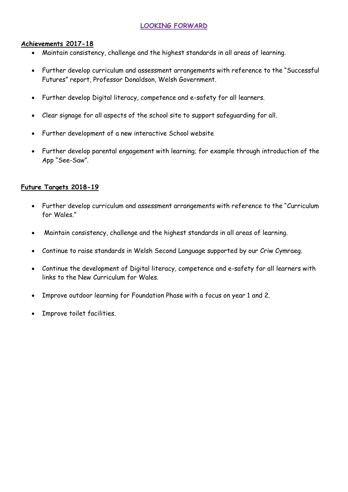## **LOOKING FORWARD**

### **Achievements 2017-18**

- Maintain consistency, challenge and the highest standards in all areas of learning.
- Further develop curriculum and assessment arrangements with reference to the "Successful Futures" report, Professor Donaldson, Welsh Government.
- Further develop Digital literacy, competence and e-safety for all learners.
- Clear signage for all aspects of the school site to support safeguarding for all.
- Further development of a new interactive School website
- Further develop parental engagement with learning; for example through introduction of the App "See-Saw".

### **Future Targets 2018-19**

- Further develop curriculum and assessment arrangements with reference to the "Curriculum for Wales."
- Maintain consistency, challenge and the highest standards in all areas of learning.
- Continue to raise standards in Welsh Second Language supported by our Criw Cymraeg.
- Continue the development of Digital literacy, competence and e-safety for all learners with links to the New Curriculum for Wales.
- Improve outdoor learning for Foundation Phase with a focus on year 1 and 2.
- Improve toilet facilities.